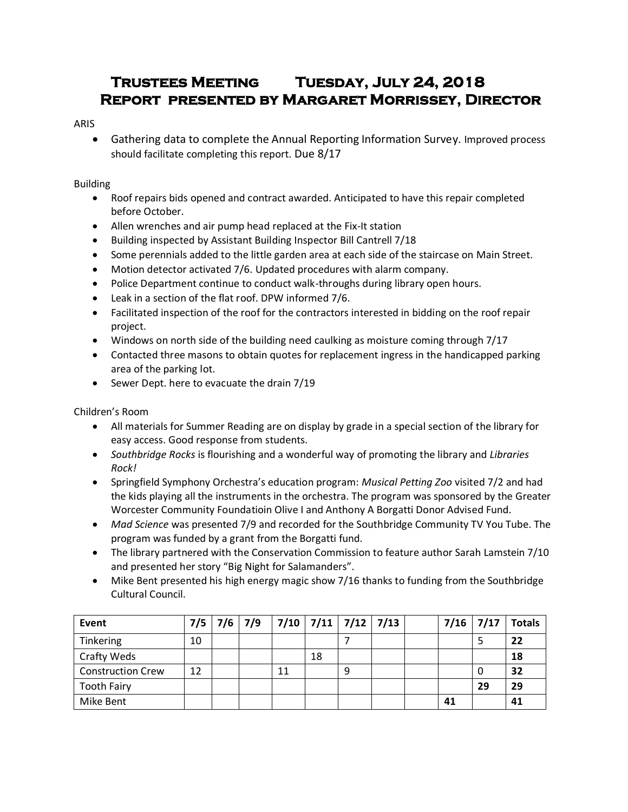# **Trustees Meeting Tuesday, July 24, 2018 Report presented by Margaret Morrissey, Director**

## ARIS

 Gathering data to complete the Annual Reporting Information Survey. Improved process should facilitate completing this report. Due 8/17

## Building

- Roof repairs bids opened and contract awarded. Anticipated to have this repair completed before October.
- Allen wrenches and air pump head replaced at the Fix-It station
- Building inspected by Assistant Building Inspector Bill Cantrell 7/18
- Some perennials added to the little garden area at each side of the staircase on Main Street.
- Motion detector activated 7/6. Updated procedures with alarm company.
- Police Department continue to conduct walk-throughs during library open hours.
- Leak in a section of the flat roof. DPW informed 7/6.
- Facilitated inspection of the roof for the contractors interested in bidding on the roof repair project.
- Windows on north side of the building need caulking as moisture coming through 7/17
- Contacted three masons to obtain quotes for replacement ingress in the handicapped parking area of the parking lot.
- Sewer Dept. here to evacuate the drain 7/19

# Children's Room

- All materials for Summer Reading are on display by grade in a special section of the library for easy access. Good response from students.
- *Southbridge Rocks* is flourishing and a wonderful way of promoting the library and *Libraries Rock!*
- Springfield Symphony Orchestra's education program: *Musical Petting Zoo* visited 7/2 and had the kids playing all the instruments in the orchestra. The program was sponsored by the Greater Worcester Community Foundatioin Olive I and Anthony A Borgatti Donor Advised Fund.
- *Mad Science* was presented 7/9 and recorded for the Southbridge Community TV You Tube. The program was funded by a grant from the Borgatti fund.
- The library partnered with the Conservation Commission to feature author Sarah Lamstein 7/10 and presented her story "Big Night for Salamanders".
- Mike Bent presented his high energy magic show 7/16 thanks to funding from the Southbridge Cultural Council.

| Event                    |    |  | $7/5$   $7/6$   $7/9$   $7/10$   $7/11$   $7/12$   $7/13$ |    |   |  |    |    | $7/16$ 7/17 Totals |
|--------------------------|----|--|-----------------------------------------------------------|----|---|--|----|----|--------------------|
| Tinkering                | 10 |  |                                                           |    |   |  |    |    | 22                 |
| Crafty Weds              |    |  |                                                           | 18 |   |  |    |    | 18                 |
| <b>Construction Crew</b> | 12 |  |                                                           |    | 9 |  |    | 0  | 32                 |
| <b>Tooth Fairy</b>       |    |  |                                                           |    |   |  |    | 29 | 29                 |
| Mike Bent                |    |  |                                                           |    |   |  | 41 |    | 41                 |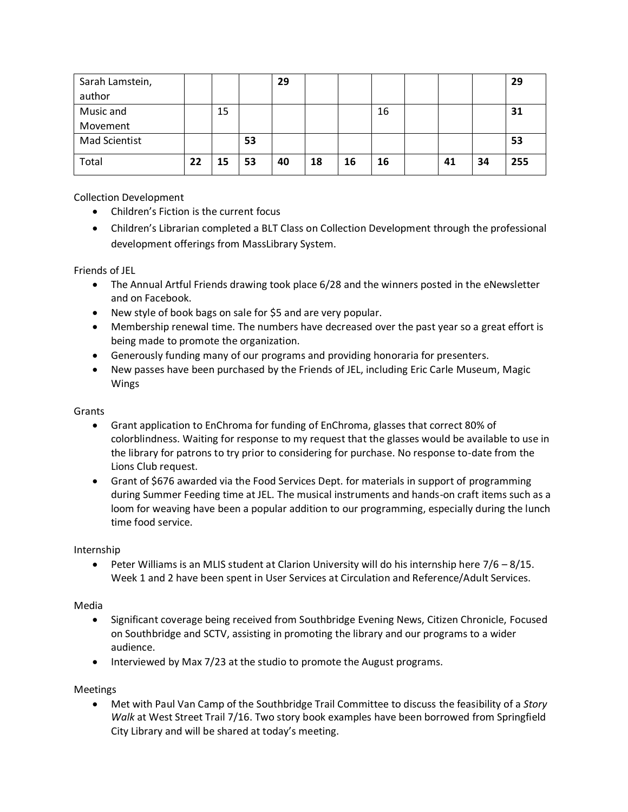| Sarah Lamstein,      |    |    |    | 29 |    |    |    |    |    | 29  |
|----------------------|----|----|----|----|----|----|----|----|----|-----|
| author               |    |    |    |    |    |    |    |    |    |     |
| Music and            |    | 15 |    |    |    |    | 16 |    |    | 31  |
| Movement             |    |    |    |    |    |    |    |    |    |     |
| <b>Mad Scientist</b> |    |    | 53 |    |    |    |    |    |    | 53  |
| Total                | 22 | 15 | 53 | 40 | 18 | 16 | 16 | 41 | 34 | 255 |

Collection Development

- Children's Fiction is the current focus
- Children's Librarian completed a BLT Class on Collection Development through the professional development offerings from MassLibrary System.

Friends of JEL

- The Annual Artful Friends drawing took place 6/28 and the winners posted in the eNewsletter and on Facebook.
- New style of book bags on sale for \$5 and are very popular.
- Membership renewal time. The numbers have decreased over the past year so a great effort is being made to promote the organization.
- Generously funding many of our programs and providing honoraria for presenters.
- New passes have been purchased by the Friends of JEL, including Eric Carle Museum, Magic Wings

### Grants

- Grant application to EnChroma for funding of EnChroma, glasses that correct 80% of colorblindness. Waiting for response to my request that the glasses would be available to use in the library for patrons to try prior to considering for purchase. No response to-date from the Lions Club request.
- Grant of \$676 awarded via the Food Services Dept. for materials in support of programming during Summer Feeding time at JEL. The musical instruments and hands-on craft items such as a loom for weaving have been a popular addition to our programming, especially during the lunch time food service.

#### Internship

**•** Peter Williams is an MLIS student at Clarion University will do his internship here  $7/6 - 8/15$ . Week 1 and 2 have been spent in User Services at Circulation and Reference/Adult Services.

#### Media

- Significant coverage being received from Southbridge Evening News, Citizen Chronicle, Focused on Southbridge and SCTV, assisting in promoting the library and our programs to a wider audience.
- Interviewed by Max 7/23 at the studio to promote the August programs.

Meetings

 Met with Paul Van Camp of the Southbridge Trail Committee to discuss the feasibility of a *Story Walk* at West Street Trail 7/16. Two story book examples have been borrowed from Springfield City Library and will be shared at today's meeting.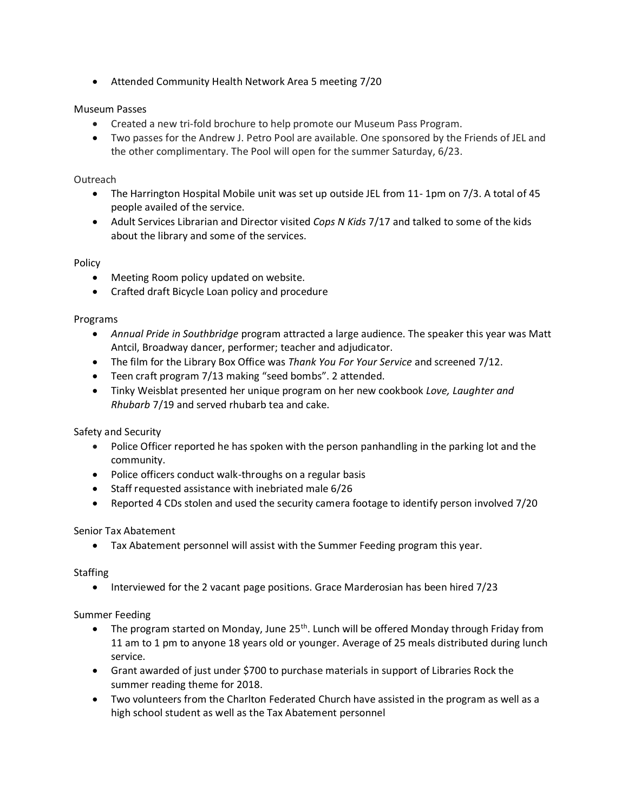Attended Community Health Network Area 5 meeting 7/20

# Museum Passes

- Created a new tri-fold brochure to help promote our Museum Pass Program.
- Two passes for the Andrew J. Petro Pool are available. One sponsored by the Friends of JEL and the other complimentary. The Pool will open for the summer Saturday, 6/23.

#### Outreach

- The Harrington Hospital Mobile unit was set up outside JEL from 11- 1pm on 7/3. A total of 45 people availed of the service.
- Adult Services Librarian and Director visited *Cops N Kids* 7/17 and talked to some of the kids about the library and some of the services.

#### Policy

- Meeting Room policy updated on website.
- Crafted draft Bicycle Loan policy and procedure

#### Programs

- *Annual Pride in Southbridge* program attracted a large audience. The speaker this year was Matt Antcil, Broadway dancer, performer; teacher and adjudicator.
- The film for the Library Box Office was *Thank You For Your Service* and screened 7/12.
- Teen craft program 7/13 making "seed bombs". 2 attended.
- Tinky Weisblat presented her unique program on her new cookbook *Love, Laughter and Rhubarb* 7/19 and served rhubarb tea and cake.

Safety and Security

- Police Officer reported he has spoken with the person panhandling in the parking lot and the community.
- Police officers conduct walk-throughs on a regular basis
- Staff requested assistance with inebriated male 6/26
- Reported 4 CDs stolen and used the security camera footage to identify person involved 7/20

#### Senior Tax Abatement

Tax Abatement personnel will assist with the Summer Feeding program this year.

#### **Staffing**

• Interviewed for the 2 vacant page positions. Grace Marderosian has been hired 7/23

#### Summer Feeding

- The program started on Monday, June  $25<sup>th</sup>$ . Lunch will be offered Monday through Friday from 11 am to 1 pm to anyone 18 years old or younger. Average of 25 meals distributed during lunch service.
- Grant awarded of just under \$700 to purchase materials in support of Libraries Rock the summer reading theme for 2018.
- Two volunteers from the Charlton Federated Church have assisted in the program as well as a high school student as well as the Tax Abatement personnel